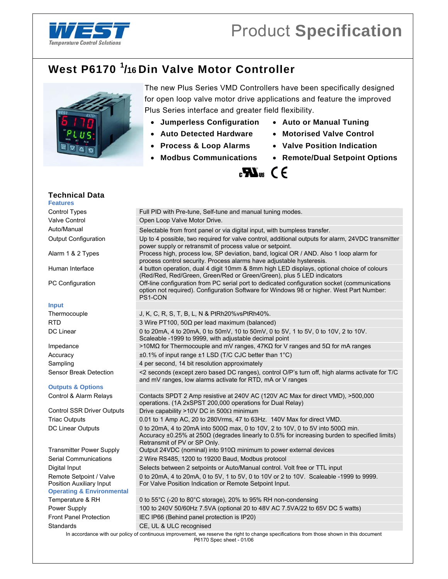

## **West P6170 <sup>1</sup> /16 Din Valve Motor Controller**



The new Plus Series VMD Controllers have been specifically designed for open loop valve motor drive applications and feature the improved Plus Series interface and greater field flexibility.

- **Jumperless Configuration Auto or Manual Tuning**
- **Auto Detected Hardware Motorised Valve Control**
- **Process & Loop Alarms Valve Position Indication**
- 
- 
- 
- 
- **Modbus Communications Remote/Dual Setpoint Options**

## $\mathbf{F}$  and  $\mathbf{F}$

| <b>Technical Data</b>                               |                                                                                                                                                                                                                              |
|-----------------------------------------------------|------------------------------------------------------------------------------------------------------------------------------------------------------------------------------------------------------------------------------|
| <b>Features</b>                                     |                                                                                                                                                                                                                              |
| Control Types                                       | Full PID with Pre-tune, Self-tune and manual tuning modes.                                                                                                                                                                   |
| Valve Control                                       | Open Loop Valve Motor Drive.                                                                                                                                                                                                 |
| Auto/Manual                                         | Selectable from front panel or via digital input, with bumpless transfer.                                                                                                                                                    |
| <b>Output Configuration</b>                         | Up to 4 possible, two required for valve control, additional outputs for alarm, 24VDC transmitter<br>power supply or retransmit of process value or setpoint.                                                                |
| Alarm 1 & 2 Types                                   | Process high, process low, SP deviation, band, logical OR / AND. Also 1 loop alarm for<br>process control security. Process alarms have adjustable hysteresis.                                                               |
| Human Interface                                     | 4 button operation, dual 4 digit 10mm & 8mm high LED displays, optional choice of colours<br>(Red/Red, Red/Green, Green/Red or Green/Green), plus 5 LED indicators                                                           |
| PC Configuration                                    | Off-line configuration from PC serial port to dedicated configuration socket (communications<br>option not required). Configuration Software for Windows 98 or higher. West Part Number:<br>PS1-CON                          |
| <b>Input</b>                                        |                                                                                                                                                                                                                              |
| Thermocouple                                        | J, K, C, R, S, T, B, L, N & PtRh20% vsPtRh40%.                                                                                                                                                                               |
| <b>RTD</b>                                          | 3 Wire PT100, 50 $\Omega$ per lead maximum (balanced)                                                                                                                                                                        |
| DC Linear                                           | 0 to 20mA, 4 to 20mA, 0 to 50mV, 10 to 50mV, 0 to 5V, 1 to 5V, 0 to 10V, 2 to 10V.<br>Scaleable -1999 to 9999, with adjustable decimal point                                                                                 |
| Impedance                                           | >10MΩ for Thermocouple and mV ranges, 47KΩ for V ranges and 5Ω for mA ranges                                                                                                                                                 |
| Accuracy                                            | $\pm$ 0.1% of input range $\pm$ 1 LSD (T/C CJC better than 1°C)                                                                                                                                                              |
| Sampling                                            | 4 per second, 14 bit resolution approximately                                                                                                                                                                                |
| Sensor Break Detection                              | <2 seconds (except zero based DC ranges), control O/P's turn off, high alarms activate for T/C<br>and mV ranges, low alarms activate for RTD, mA or V ranges                                                                 |
| <b>Outputs &amp; Options</b>                        |                                                                                                                                                                                                                              |
| Control & Alarm Relays                              | Contacts SPDT 2 Amp resistive at 240V AC (120V AC Max for direct VMD), >500,000<br>operations. (1A 2xSPST 200,000 operations for Dual Relay)                                                                                 |
| <b>Control SSR Driver Outputs</b>                   | Drive capability >10V DC in 500 $\Omega$ minimum                                                                                                                                                                             |
| <b>Triac Outputs</b>                                | 0.01 to 1 Amp AC, 20 to 280Vrms, 47 to 63Hz. 140V Max for direct VMD.                                                                                                                                                        |
| DC Linear Outputs                                   | 0 to 20mA, 4 to 20mA into 500Ω max, 0 to 10V, 2 to 10V, 0 to 5V into 500Ω min.<br>Accuracy $\pm$ 0.25% at 250 $\Omega$ (degrades linearly to 0.5% for increasing burden to specified limits)<br>Retransmit of PV or SP Only. |
| <b>Transmitter Power Supply</b>                     | Output 24VDC (nominal) into $910\Omega$ minimum to power external devices                                                                                                                                                    |
| Serial Communications                               | 2 Wire RS485, 1200 to 19200 Baud, Modbus protocol                                                                                                                                                                            |
| Digital Input                                       | Selects between 2 setpoints or Auto/Manual control. Volt free or TTL input                                                                                                                                                   |
| Remote Setpoint / Valve<br>Position Auxiliary Input | 0 to 20mA, 4 to 20mA, 0 to 5V, 1 to 5V, 0 to 10V or 2 to 10V. Scaleable -1999 to 9999.<br>For Valve Position Indication or Remote Setpoint Input.                                                                            |
| <b>Operating &amp; Environmental</b>                |                                                                                                                                                                                                                              |
| Temperature & RH                                    | 0 to 55 $^{\circ}$ C (-20 to 80 $^{\circ}$ C storage), 20% to 95% RH non-condensing                                                                                                                                          |
| Power Supply                                        | 100 to 240V 50/60Hz 7.5VA (optional 20 to 48V AC 7.5VA/22 to 65V DC 5 watts)                                                                                                                                                 |
| <b>Front Panel Protection</b>                       | IEC IP66 (Behind panel protection is IP20)                                                                                                                                                                                   |
| Standards                                           | CE, UL & ULC recognised                                                                                                                                                                                                      |
|                                                     | In accordance with our policy of continuous improvement, we reserve the right to change specifications from those shown in this document<br>P6170 Spec sheet - 01/06                                                         |